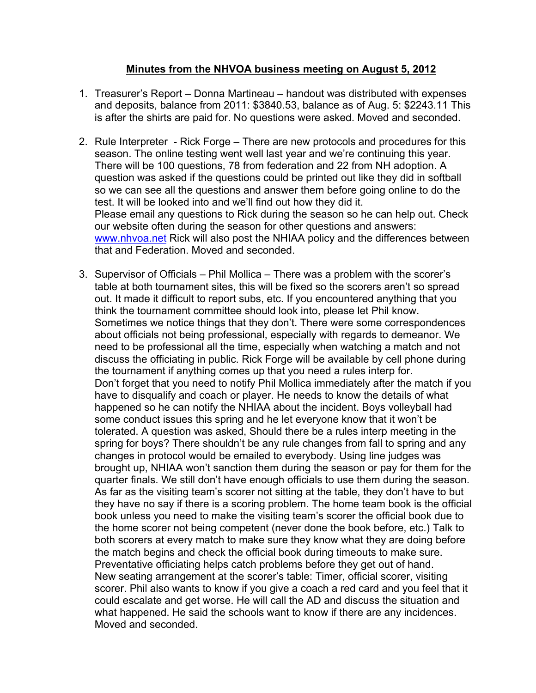## **Minutes from the NHVOA business meeting on August 5, 2012**

- 1. Treasurer's Report Donna Martineau handout was distributed with expenses and deposits, balance from 2011: \$3840.53, balance as of Aug. 5: \$2243.11 This is after the shirts are paid for. No questions were asked. Moved and seconded.
- 2. Rule Interpreter Rick Forge There are new protocols and procedures for this season. The online testing went well last year and we're continuing this year. There will be 100 questions, 78 from federation and 22 from NH adoption. A question was asked if the questions could be printed out like they did in softball so we can see all the questions and answer them before going online to do the test. It will be looked into and we'll find out how they did it. Please email any questions to Rick during the season so he can help out. Check our website often during the season for other questions and answers: www.nhvoa.net Rick will also post the NHIAA policy and the differences between that and Federation. Moved and seconded.
- 3. Supervisor of Officials Phil Mollica There was a problem with the scorer's table at both tournament sites, this will be fixed so the scorers aren't so spread out. It made it difficult to report subs, etc. If you encountered anything that you think the tournament committee should look into, please let Phil know. Sometimes we notice things that they don't. There were some correspondences about officials not being professional, especially with regards to demeanor. We need to be professional all the time, especially when watching a match and not discuss the officiating in public. Rick Forge will be available by cell phone during the tournament if anything comes up that you need a rules interp for. Don't forget that you need to notify Phil Mollica immediately after the match if you have to disqualify and coach or player. He needs to know the details of what happened so he can notify the NHIAA about the incident. Boys volleyball had some conduct issues this spring and he let everyone know that it won't be tolerated. A question was asked, Should there be a rules interp meeting in the spring for boys? There shouldn't be any rule changes from fall to spring and any changes in protocol would be emailed to everybody. Using line judges was brought up, NHIAA won't sanction them during the season or pay for them for the quarter finals. We still don't have enough officials to use them during the season. As far as the visiting team's scorer not sitting at the table, they don't have to but they have no say if there is a scoring problem. The home team book is the official book unless you need to make the visiting team's scorer the official book due to the home scorer not being competent (never done the book before, etc.) Talk to both scorers at every match to make sure they know what they are doing before the match begins and check the official book during timeouts to make sure. Preventative officiating helps catch problems before they get out of hand. New seating arrangement at the scorer's table: Timer, official scorer, visiting scorer. Phil also wants to know if you give a coach a red card and you feel that it could escalate and get worse. He will call the AD and discuss the situation and what happened. He said the schools want to know if there are any incidences. Moved and seconded.